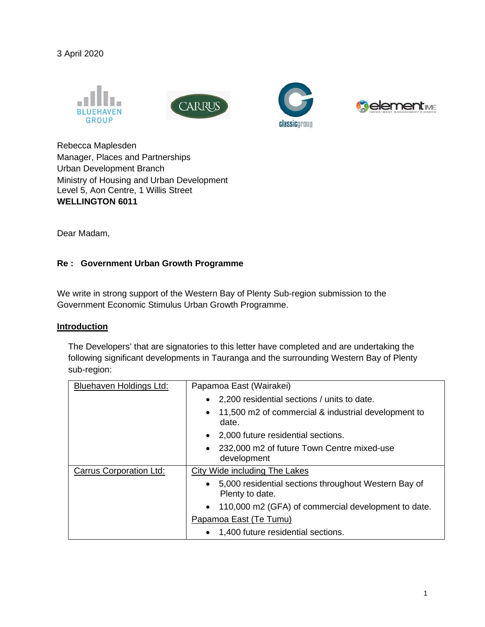3 April 2020









Rebecca Maplesden Manager, Places and Partnerships Urban Development Branch Ministry of Housing and Urban Development Level 5, Aon Centre, 1 Willis Street **WELLINGTON 6011**

Dear Madam,

## **Re : Government Urban Growth Programme**

We write in strong support of the Western Bay of Plenty Sub-region submission to the Government Economic Stimulus Urban Growth Programme.

## **Introduction**

The Developers' that are signatories to this letter have completed and are undertaking the following significant developments in Tauranga and the surrounding Western Bay of Plenty sub-region:

| Bluehaven Holdings Ltd:        | Papamoa East (Wairakei)                                                   |  |
|--------------------------------|---------------------------------------------------------------------------|--|
|                                | • 2,200 residential sections / units to date.                             |  |
|                                | 11,500 m2 of commercial & industrial development to<br>$\bullet$<br>date. |  |
|                                | 2,000 future residential sections.                                        |  |
|                                | 232,000 m2 of future Town Centre mixed-use<br>development                 |  |
| <b>Carrus Corporation Ltd:</b> | City Wide including The Lakes                                             |  |
|                                | • 5,000 residential sections throughout Western Bay of<br>Plenty to date. |  |
|                                | 110,000 m2 (GFA) of commercial development to date.<br>$\bullet$          |  |
|                                | Papamoa East (Te Tumu)                                                    |  |
|                                | • 1,400 future residential sections.                                      |  |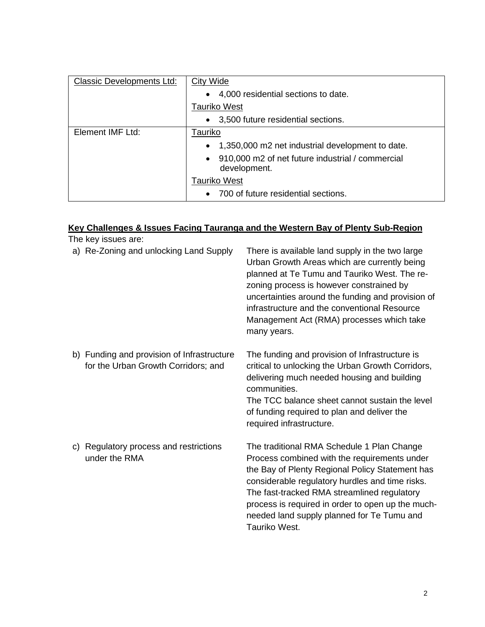| <b>Classic Developments Ltd:</b> | City Wide                                                                     |  |
|----------------------------------|-------------------------------------------------------------------------------|--|
|                                  | 4,000 residential sections to date.<br>$\bullet$                              |  |
|                                  | <b>Tauriko West</b>                                                           |  |
|                                  | • 3,500 future residential sections.                                          |  |
| Element IMF Ltd:                 | Tauriko                                                                       |  |
|                                  | 1,350,000 m2 net industrial development to date.<br>$\bullet$                 |  |
|                                  | 910,000 m2 of net future industrial / commercial<br>$\bullet$<br>development. |  |
|                                  | Tauriko West                                                                  |  |
|                                  | 700 of future residential sections.                                           |  |

## **Key Challenges & Issues Facing Tauranga and the Western Bay of Plenty Sub-Region**

| The key issues are:                                                               |                                                                                                                                                                                                                                                                                                                                                                     |
|-----------------------------------------------------------------------------------|---------------------------------------------------------------------------------------------------------------------------------------------------------------------------------------------------------------------------------------------------------------------------------------------------------------------------------------------------------------------|
| a) Re-Zoning and unlocking Land Supply                                            | There is available land supply in the two large<br>Urban Growth Areas which are currently being<br>planned at Te Tumu and Tauriko West. The re-<br>zoning process is however constrained by<br>uncertainties around the funding and provision of<br>infrastructure and the conventional Resource<br>Management Act (RMA) processes which take<br>many years.        |
| b) Funding and provision of Infrastructure<br>for the Urban Growth Corridors; and | The funding and provision of Infrastructure is<br>critical to unlocking the Urban Growth Corridors,<br>delivering much needed housing and building<br>communities.<br>The TCC balance sheet cannot sustain the level<br>of funding required to plan and deliver the<br>required infrastructure.                                                                     |
| c) Regulatory process and restrictions<br>under the RMA                           | The traditional RMA Schedule 1 Plan Change<br>Process combined with the requirements under<br>the Bay of Plenty Regional Policy Statement has<br>considerable regulatory hurdles and time risks.<br>The fast-tracked RMA streamlined regulatory<br>process is required in order to open up the much-<br>needed land supply planned for Te Tumu and<br>Tauriko West. |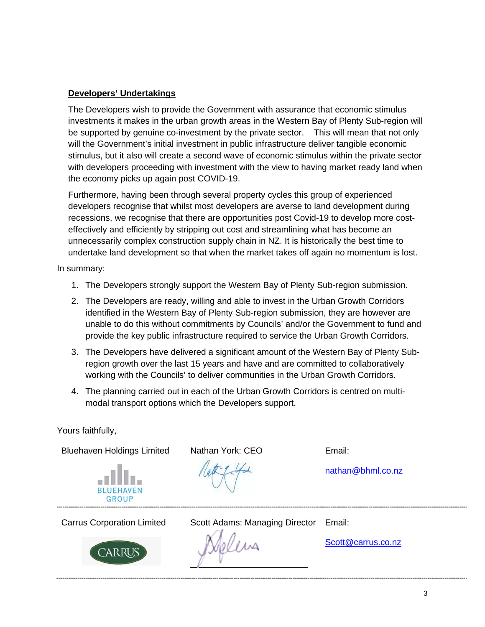## **Developers' Undertakings**

The Developers wish to provide the Government with assurance that economic stimulus investments it makes in the urban growth areas in the Western Bay of Plenty Sub-region will be supported by genuine co-investment by the private sector. This will mean that not only will the Government's initial investment in public infrastructure deliver tangible economic stimulus, but it also will create a second wave of economic stimulus within the private sector with developers proceeding with investment with the view to having market ready land when the economy picks up again post COVID-19.

Furthermore, having been through several property cycles this group of experienced developers recognise that whilst most developers are averse to land development during recessions, we recognise that there are opportunities post Covid-19 to develop more costeffectively and efficiently by stripping out cost and streamlining what has become an unnecessarily complex construction supply chain in NZ. It is historically the best time to undertake land development so that when the market takes off again no momentum is lost.

In summary:

- 1. The Developers strongly support the Western Bay of Plenty Sub-region submission.
- 2. The Developers are ready, willing and able to invest in the Urban Growth Corridors identified in the Western Bay of Plenty Sub-region submission, they are however are unable to do this without commitments by Councils' and/or the Government to fund and provide the key public infrastructure required to service the Urban Growth Corridors.
- 3. The Developers have delivered a significant amount of the Western Bay of Plenty Subregion growth over the last 15 years and have and are committed to collaboratively working with the Councils' to deliver communities in the Urban Growth Corridors.
- 4. The planning carried out in each of the Urban Growth Corridors is centred on multimodal transport options which the Developers support.

Yours faithfully,

Bluehaven Holdings Limited Nathan York: CEO Email:



nathan@bhml.co.nz



Carrus Corporation Limited Scott Adams: Managing Director Email:

aliwa

Scott@carrus.co.nz